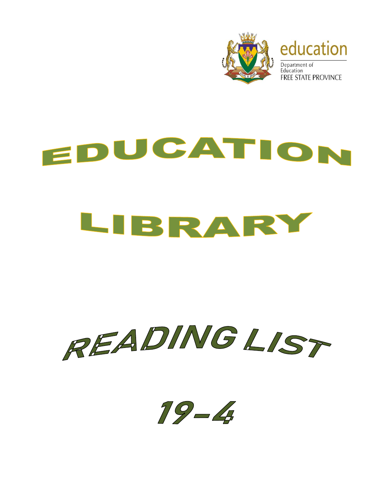

## EDUCATION LIBRARY



 $19 - 4$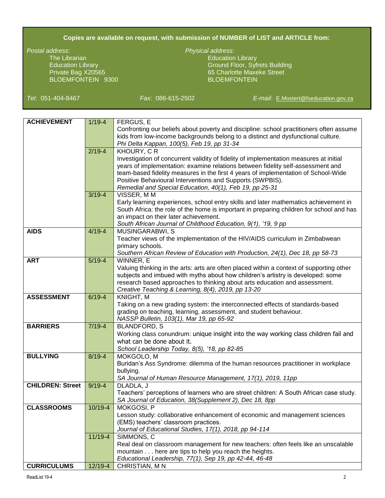## **Copies are available on request, with submission of NUMBER of LIST and ARTICLE from:**

The Librarian Education Library Company and Company Education Library BLOEMFONTEIN 9300

## *Postal address*: *Physical address*:

Education Library Ground Floor, Syfrets Building Private Bag X20565 65 Charlotte Maxeke Street

*Tel*: 051-404-8467 *Fax*: 086-615-2502 *E-mail*: [E.Mostert@fseducation.gov.za](mailto:E.Mostert@fseducation.gov.za)

| <b>ACHIEVEMENT</b>      | $1/19 - 4$ | <b>FERGUS, E</b>                                                                           |
|-------------------------|------------|--------------------------------------------------------------------------------------------|
|                         |            | Confronting our beliefs about poverty and discipline: school practitioners often assume    |
|                         |            | kids from low-income backgrounds belong to a distinct and dysfunctional culture.           |
|                         |            | Phi Delta Kappan, 100(5), Feb 19, pp 31-34                                                 |
|                         | $2/19 - 4$ | KHOURY, CR                                                                                 |
|                         |            | Investigation of concurrent validity of fidelity of implementation measures at initial     |
|                         |            | years of implementation: examine relations between fidelity self-assessment and            |
|                         |            | team-based fidelity measures in the first 4 years of implementation of School-Wide         |
|                         |            | Positive Behavioural Interventions and Supports (SWPBIS).                                  |
|                         |            | Remedial and Special Education, 40(1), Feb 19, pp 25-31                                    |
|                         | $3/19 - 4$ | VISSER, MM                                                                                 |
|                         |            | Early learning experiences, school entry skills and later mathematics achievement in       |
|                         |            | South Africa: the role of the home is important in preparing children for school and has   |
|                         |            | an impact on their later achievement.                                                      |
|                         |            | South African Journal of Childhood Education, 9(1), '19, 9 pp                              |
| <b>AIDS</b>             | $4/19 - 4$ | MUSINGARABWI, S                                                                            |
|                         |            | Teacher views of the implementation of the HIV/AIDS curriculum in Zimbabwean               |
|                         |            | primary schools.                                                                           |
|                         |            | Southern African Review of Education with Production, 24(1), Dec 18, pp 58-73              |
| <b>ART</b>              | $5/19-4$   | WINNER, E                                                                                  |
|                         |            | Valuing thinking in the arts: arts are often placed within a context of supporting other   |
|                         |            | subjects and imbued with myths about how children's artistry is developed: some            |
|                         |            | research based approaches to thinking about arts education and assessment.                 |
| <b>ASSESSMENT</b>       |            | Creative Teaching & Learning, 8(4), 2019, pp 13-20                                         |
|                         | $6/19 - 4$ | KNIGHT, M<br>Taking on a new grading system: the interconnected effects of standards-based |
|                         |            | grading on teaching, learning, assessment, and student behaviour.                          |
|                         |            | NASSP Bulletin, 103(1), Mar 19, pp 65-92                                                   |
| <b>BARRIERS</b>         | $7/19 - 4$ | <b>BLANDFORD, S</b>                                                                        |
|                         |            | Working class conundrum: unique insight into the way working class children fail and       |
|                         |            | what can be done about it.                                                                 |
|                         |            | School Leadership Today, 8(5), '18, pp 82-85                                               |
| <b>BULLYING</b>         | $8/19 - 4$ | MOKGOLO, M                                                                                 |
|                         |            | Buridan's Ass Syndrome: dilemma of the human resources practitioner in workplace           |
|                         |            | bullying.                                                                                  |
|                         |            | SA Journal of Human Resource Management, 17(1), 2019, 11pp                                 |
| <b>CHILDREN: Street</b> | $9/19 - 4$ | DLADLA, J                                                                                  |
|                         |            | Teachers' perceptions of learners who are street children: A South African case study.     |
|                         |            | SA Journal of Education, 38(Supplement 2), Dec 18, 8pp                                     |
| <b>CLASSROOMS</b>       | 10/19-4    | MOKGOSI, P                                                                                 |
|                         |            | Lesson study: collaborative enhancement of economic and management sciences                |
|                         |            | (EMS) teachers' classroom practices.                                                       |
|                         |            | Journal of Educational Studies, 17(1), 2018, pp 94-114                                     |
|                         | 11/19-4    | SIMMONS, C                                                                                 |
|                         |            | Real deal on classroom management for new teachers: often feels like an unscalable         |
|                         |            | mountain here are tips to help you reach the heights.                                      |
|                         |            | Educational Leadership, 77(1), Sep 19, pp 42-44, 46-48                                     |
| <b>CURRICULUMS</b>      | 12/19-4    | CHRISTIAN, MN                                                                              |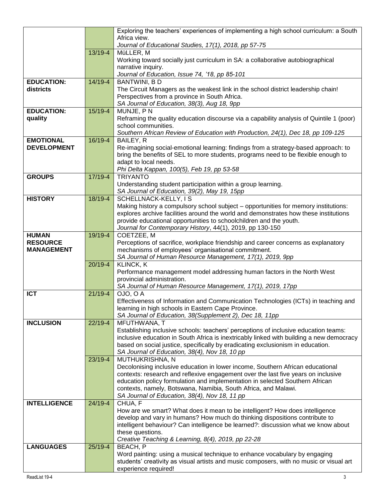|                                 |             | Exploring the teachers' experiences of implementing a high school curriculum: a South                                                                       |
|---------------------------------|-------------|-------------------------------------------------------------------------------------------------------------------------------------------------------------|
|                                 |             | Africa view.                                                                                                                                                |
|                                 |             | Journal of Educational Studies, 17(1), 2018, pp 57-75                                                                                                       |
|                                 | 13/19-4     | MüLLER, M                                                                                                                                                   |
|                                 |             | Working toward socially just curriculum in SA: a collaborative autobiographical<br>narrative inquiry.                                                       |
|                                 |             | Journal of Education, Issue 74, '18, pp 85-101                                                                                                              |
| <b>EDUCATION:</b>               | 14/19-4     | <b>BANTWINI, BD</b>                                                                                                                                         |
| districts                       |             | The Circuit Managers as the weakest link in the school district leadership chain!                                                                           |
|                                 |             | Perspectives from a province in South Africa.                                                                                                               |
|                                 |             | SA Journal of Education, 38(3), Aug 18, 9pp                                                                                                                 |
| <b>EDUCATION:</b>               | 15/19-4     | MUNJE, PN                                                                                                                                                   |
| quality                         |             | Reframing the quality education discourse via a capability analysis of Quintile 1 (poor)                                                                    |
|                                 |             | school communities.<br>Southern African Review of Education with Production, 24(1), Dec 18, pp 109-125                                                      |
| <b>EMOTIONAL</b>                | 16/19-4     | BAILEY, R                                                                                                                                                   |
| <b>DEVELOPMENT</b>              |             | Re-imagining social-emotional learning: findings from a strategy-based approach: to                                                                         |
|                                 |             | bring the benefits of SEL to more students, programs need to be flexible enough to                                                                          |
|                                 |             | adapt to local needs.                                                                                                                                       |
|                                 |             | Phi Delta Kappan, 100(5), Feb 19, pp 53-58                                                                                                                  |
| <b>GROUPS</b>                   | 17/19-4     | <b>TRIYANTO</b>                                                                                                                                             |
|                                 |             | Understanding student participation within a group learning.<br>SA Journal of Education, 39(2), May 19, 15pp                                                |
| <b>HISTORY</b>                  | 18/19-4     | SCHELLNACK-KELLY, IS                                                                                                                                        |
|                                 |             | Making history a compulsory school subject - opportunities for memory institutions:                                                                         |
|                                 |             | explores archive facilities around the world and demonstrates how these institutions                                                                        |
|                                 |             | provide educational opportunities to schoolchildren and the youth.                                                                                          |
|                                 |             | Journal for Contemporary History, 44(1), 2019, pp 130-150                                                                                                   |
| <b>HUMAN</b><br><b>RESOURCE</b> | 19/19-4     | COETZEE, M<br>Perceptions of sacrifice, workplace friendship and career concerns as explanatory                                                             |
| <b>MANAGEMENT</b>               |             | mechanisms of employees' organisational commitment.                                                                                                         |
|                                 |             | SA Journal of Human Resource Management, 17(1), 2019, 9pp                                                                                                   |
|                                 | $20/19 - 4$ | <b>KLINCK, K</b>                                                                                                                                            |
|                                 |             | Performance management model addressing human factors in the North West                                                                                     |
|                                 |             | provincial administration.                                                                                                                                  |
|                                 |             | SA Journal of Human Resource Management, 17(1), 2019, 17pp                                                                                                  |
| <b>ICT</b>                      | $21/19 - 4$ | OJO, O A<br>Effectiveness of Information and Communication Technologies (ICTs) in teaching and                                                              |
|                                 |             | learning in high schools in Eastern Cape Province.                                                                                                          |
|                                 |             | SA Journal of Education, 38(Supplement 2), Dec 18, 11pp                                                                                                     |
| <b>INCLUSION</b>                | $22/19 - 4$ | MFUTHWANA, T                                                                                                                                                |
|                                 |             | Establishing inclusive schools: teachers' perceptions of inclusive education teams:                                                                         |
|                                 |             | inclusive education in South Africa is inextricably linked with building a new democracy                                                                    |
|                                 |             | based on social justice, specifically by eradicating exclusionism in education.                                                                             |
|                                 | 23/19-4     | SA Journal of Education, 38(4), Nov 18, 10 pp<br>MUTHUKRISHNA, N                                                                                            |
|                                 |             | Decolonising inclusive education in lower income, Southern African educational                                                                              |
|                                 |             | contexts: research and reflexive engagement over the last five years on inclusive                                                                           |
|                                 |             | education policy formulation and implementation in selected Southern African                                                                                |
|                                 |             | contexts, namely, Botswana, Namibia, South Africa, and Malawi.                                                                                              |
|                                 |             | SA Journal of Education, 38(4), Nov 18, 11 pp                                                                                                               |
| <b>INTELLIGENCE</b>             | 24/19-4     | CHUA, F                                                                                                                                                     |
|                                 |             | How are we smart? What does it mean to be intelligent? How does intelligence<br>develop and vary in humans? How much do thinking dispositions contribute to |
|                                 |             | intelligent behaviour? Can intelligence be learned?: discussion what we know about                                                                          |
|                                 |             | these questions.                                                                                                                                            |
|                                 |             | Creative Teaching & Learning, 8(4), 2019, pp 22-28                                                                                                          |
| <b>LANGUAGES</b>                | $25/19-4$   | BEACH, P                                                                                                                                                    |
|                                 |             | Word painting: using a musical technique to enhance vocabulary by engaging                                                                                  |
|                                 |             |                                                                                                                                                             |
|                                 |             | students' creativity as visual artists and music composers, with no music or visual art<br>experience required!                                             |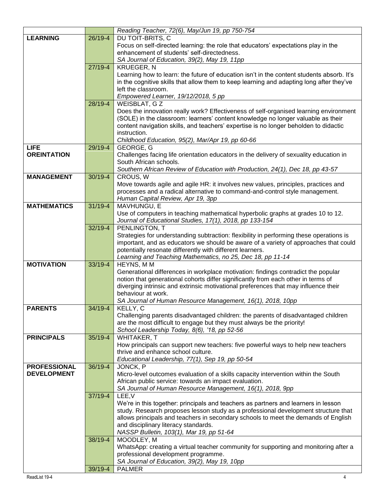|                     |             | Reading Teacher, 72(6), May/Jun 19, pp 750-754                                            |
|---------------------|-------------|-------------------------------------------------------------------------------------------|
| <b>LEARNING</b>     | 26/19-4     | DU TOIT-BRITS, C                                                                          |
|                     |             | Focus on self-directed learning: the role that educators' expectations play in the        |
|                     |             | enhancement of students' self-directedness.                                               |
|                     |             | SA Journal of Education, 39(2), May 19, 11pp                                              |
|                     | 27/19-4     | <b>KRUEGER, N</b>                                                                         |
|                     |             | Learning how to learn: the future of education isn't in the content students absorb. It's |
|                     |             | in the cognitive skills that allow them to keep learning and adapting long after they've  |
|                     |             | left the classroom.                                                                       |
|                     |             | Empowered Learner, 19/12/2018, 5 pp                                                       |
|                     | 28/19-4     | <b>WEISBLAT, GZ</b>                                                                       |
|                     |             | Does the innovation really work? Effectiveness of self-organised learning environment     |
|                     |             | (SOLE) in the classroom: learners' content knowledge no longer valuable as their          |
|                     |             | content navigation skills, and teachers' expertise is no longer beholden to didactic      |
|                     |             | instruction.                                                                              |
|                     |             | Childhood Education, 95(2), Mar/Apr 19, pp 60-66                                          |
| <b>LIFE</b>         | 29/19-4     | GEORGE, G                                                                                 |
| <b>OREINTATION</b>  |             | Challenges facing life orientation educators in the delivery of sexuality education in    |
|                     |             | South African schools.                                                                    |
|                     |             | Southern African Review of Education with Production, 24(1), Dec 18, pp 43-57             |
| <b>MANAGEMENT</b>   | $30/19 - 4$ | CROUS, W                                                                                  |
|                     |             | Move towards agile and agile HR: it involves new values, principles, practices and        |
|                     |             | processes and a radical alternative to command-and-control style management.              |
|                     |             | Human Capital Review, Apr 19, 3pp                                                         |
| <b>MATHEMATICS</b>  | $31/19 - 4$ | MAVHUNGU, E                                                                               |
|                     |             | Use of computers in teaching mathematical hyperbolic graphs at grades 10 to 12.           |
|                     |             | Journal of Educational Studies, 17(1), 2018, pp 133-154                                   |
|                     | 32/19-4     | PENLINGTON, T                                                                             |
|                     |             | Strategies for understanding subtraction: flexibility in performing these operations is   |
|                     |             | important, and as educators we should be aware of a variety of approaches that could      |
|                     |             | potentially resonate differently with different learners.                                 |
|                     |             | Learning and Teaching Mathematics, no 25, Dec 18, pp 11-14                                |
| <b>MOTIVATION</b>   | 33/19-4     | HEYNS, MM                                                                                 |
|                     |             | Generational differences in workplace motivation: findings contradict the popular         |
|                     |             | notion that generational cohorts differ significantly from each other in terms of         |
|                     |             | diverging intrinsic and extrinsic motivational preferences that may influence their       |
|                     |             | behaviour at work.                                                                        |
|                     |             | SA Journal of Human Resource Management, 16(1), 2018, 10pp                                |
| <b>PARENTS</b>      | 34/19-4     | KELLY, C                                                                                  |
|                     |             | Challenging parents disadvantaged children: the parents of disadvantaged children         |
|                     |             | are the most difficult to engage but they must always be the priority!                    |
| <b>PRINCIPALS</b>   | $35/19 - 4$ | School Leadership Today, 8(6), '18, pp 52-56<br>WHITAKER, T                               |
|                     |             | How principals can support new teachers: five powerful ways to help new teachers          |
|                     |             | thrive and enhance school culture.                                                        |
|                     |             | Educational Leadership, 77(1), Sep 19, pp 50-54                                           |
| <b>PROFESSIONAL</b> | 36/19-4     | JONCK, P                                                                                  |
| <b>DEVELOPMENT</b>  |             | Micro-level outcomes evaluation of a skills capacity intervention within the South        |
|                     |             | African public service: towards an impact evaluation.                                     |
|                     |             | SA Journal of Human Resource Management, 16(1), 2018, 9pp                                 |
|                     | $37/19 - 4$ | LEE, V                                                                                    |
|                     |             | We're in this together: principals and teachers as partners and learners in lesson        |
|                     |             | study. Research proposes lesson study as a professional development structure that        |
|                     |             | allows principals and teachers in secondary schools to meet the demands of English        |
|                     |             | and disciplinary literacy standards.                                                      |
|                     |             | NASSP Bulletin, 103(1), Mar 19, pp 51-64                                                  |
|                     | 38/19-4     | MOODLEY, M                                                                                |
|                     |             | WhatsApp: creating a virtual teacher community for supporting and monitoring after a      |
|                     |             | professional development programme.                                                       |
|                     |             | SA Journal of Education, 39(2), May 19, 10pp                                              |
|                     | 39/19-4     | <b>PALMER</b>                                                                             |
|                     |             |                                                                                           |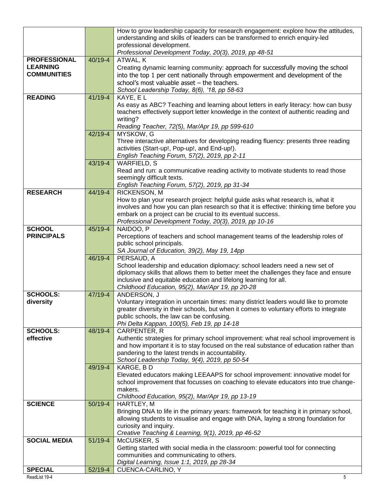|                     |             | How to grow leadership capacity for research engagement: explore how the attitudes,<br>understanding and skills of leaders can be transformed to enrich enquiry-led<br>professional development. |
|---------------------|-------------|--------------------------------------------------------------------------------------------------------------------------------------------------------------------------------------------------|
|                     |             | Professional Development Today, 20(3), 2019, pp 48-51                                                                                                                                            |
| <b>PROFESSIONAL</b> | 40/19-4     | ATWAL, K                                                                                                                                                                                         |
| <b>LEARNING</b>     |             | Creating dynamic learning community: approach for successfully moving the school                                                                                                                 |
| <b>COMMUNITIES</b>  |             | into the top 1 per cent nationally through empowerment and development of the                                                                                                                    |
|                     |             | school's most valuable asset $-$ the teachers.                                                                                                                                                   |
|                     |             | School Leadership Today, 8(6), '18, pp 58-63                                                                                                                                                     |
| <b>READING</b>      | 41/19-4     | KAYE, EL                                                                                                                                                                                         |
|                     |             | As easy as ABC? Teaching and learning about letters in early literacy: how can busy                                                                                                              |
|                     |             | teachers effectively support letter knowledge in the context of authentic reading and                                                                                                            |
|                     |             | writing?                                                                                                                                                                                         |
|                     |             | Reading Teacher, 72(5), Mar/Apr 19, pp 599-610                                                                                                                                                   |
|                     | 42/19-4     | MYSKOW, G                                                                                                                                                                                        |
|                     |             | Three interactive alternatives for developing reading fluency: presents three reading                                                                                                            |
|                     |             | activities (Start-up!, Pop-up!, and End-up!).                                                                                                                                                    |
|                     |             | English Teaching Forum, 57(2), 2019, pp 2-11                                                                                                                                                     |
|                     | 43/19-4     | <b>WARFIELD, S</b>                                                                                                                                                                               |
|                     |             | Read and run: a communicative reading activity to motivate students to read those<br>seemingly difficult texts.                                                                                  |
|                     |             | English Teaching Forum, 57(2), 2019, pp 31-34                                                                                                                                                    |
| <b>RESEARCH</b>     | 44/19-4     | <b>RICKENSON, M</b>                                                                                                                                                                              |
|                     |             | How to plan your research project: helpful guide asks what research is, what it                                                                                                                  |
|                     |             | involves and how you can plan research so that it is effective: thinking time before you                                                                                                         |
|                     |             | embark on a project can be crucial to its eventual success.                                                                                                                                      |
|                     |             | Professional Development Today, 20(3), 2019, pp 10-16                                                                                                                                            |
| <b>SCHOOL</b>       | 45/19-4     | NAIDOO, P                                                                                                                                                                                        |
| <b>PRINCIPALS</b>   |             | Perceptions of teachers and school management teams of the leadership roles of                                                                                                                   |
|                     |             | public school principals.                                                                                                                                                                        |
|                     |             | SA Journal of Education, 39(2), May 19, 14pp                                                                                                                                                     |
|                     | 46/19-4     | PERSAUD, A                                                                                                                                                                                       |
|                     |             | School leadership and education diplomacy: school leaders need a new set of<br>diplomacy skills that allows them to better meet the challenges they face and ensure                              |
|                     |             | inclusive and equitable education and lifelong learning for all.                                                                                                                                 |
|                     |             | Childhood Education, 95(2), Mar/Apr 19, pp 20-28                                                                                                                                                 |
| <b>SCHOOLS:</b>     | $47/19 - 4$ | ANDERSON, J                                                                                                                                                                                      |
| diversity           |             | Voluntary integration in uncertain times: many district leaders would like to promote                                                                                                            |
|                     |             | greater diversity in their schools, but when it comes to voluntary efforts to integrate                                                                                                          |
|                     |             | public schools, the law can be confusing.                                                                                                                                                        |
|                     |             | Phi Delta Kappan, 100(5), Feb 19, pp 14-18                                                                                                                                                       |
| <b>SCHOOLS:</b>     | 48/19-4     | CARPENTER, R                                                                                                                                                                                     |
| effective           |             | Authentic strategies for primary school improvement: what real school improvement is                                                                                                             |
|                     |             | and how important it is to stay focused on the real substance of education rather than                                                                                                           |
|                     |             | pandering to the latest trends in accountability.<br>School Leadership Today, 9(4), 2019, pp 50-54                                                                                               |
|                     | 49/19-4     | KARGE, BD                                                                                                                                                                                        |
|                     |             | Elevated educators making LEEAAPS for school improvement: innovative model for                                                                                                                   |
|                     |             | school improvement that focusses on coaching to elevate educators into true change-                                                                                                              |
|                     |             | makers.                                                                                                                                                                                          |
|                     |             | Childhood Education, 95(2), Mar/Apr 19, pp 13-19                                                                                                                                                 |
| <b>SCIENCE</b>      | 50/19-4     | HARTLEY, M                                                                                                                                                                                       |
|                     |             | Bringing DNA to life in the primary years: framework for teaching it in primary school,                                                                                                          |
|                     |             | allowing students to visualise and engage with DNA, laying a strong foundation for                                                                                                               |
|                     |             | curiosity and inquiry.                                                                                                                                                                           |
|                     |             | Creative Teaching & Learning, 9(1), 2019, pp 46-52                                                                                                                                               |
| <b>SOCIAL MEDIA</b> | $51/19-4$   | McCUSKER, S                                                                                                                                                                                      |
|                     |             | Getting started with social media in the classroom: powerful tool for connecting<br>communities and communicating to others.                                                                     |
|                     |             | Digital Learning, Issue 1:1, 2019, pp 28-34                                                                                                                                                      |
| <b>SPECIAL</b>      | 52/19-4     | CUENCA-CARLINO, Y                                                                                                                                                                                |
|                     |             |                                                                                                                                                                                                  |